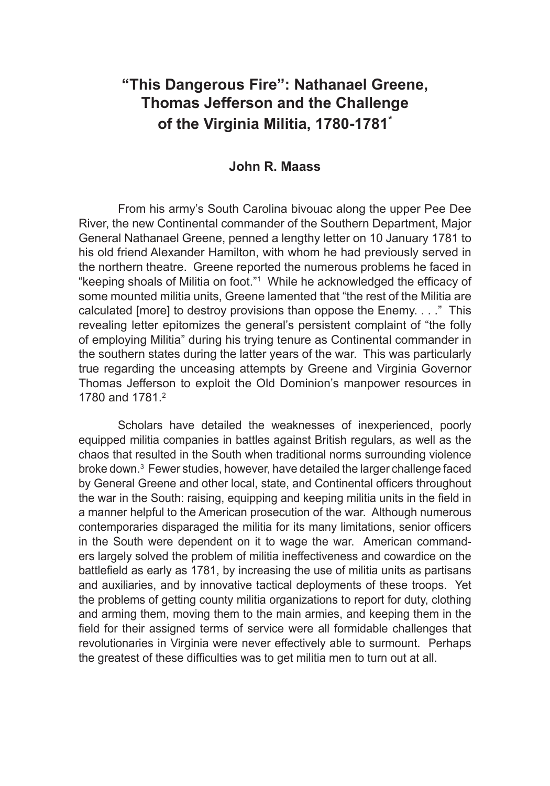# **"This Dangerous Fire": Nathanael Greene, Thomas Jefferson and the Challenge of the Virginia Militia, 1780-1781\***

# **John R. Maass**

From his army's South Carolina bivouac along the upper Pee Dee River, the new Continental commander of the Southern Department, Major General Nathanael Greene, penned a lengthy letter on 10 January 1781 to his old friend Alexander Hamilton, with whom he had previously served in the northern theatre. Greene reported the numerous problems he faced in "keeping shoals of Militia on foot."1 While he acknowledged the efficacy of some mounted militia units, Greene lamented that "the rest of the Militia are calculated [more] to destroy provisions than oppose the Enemy. . . ." This revealing letter epitomizes the general's persistent complaint of "the folly of employing Militia" during his trying tenure as Continental commander in the southern states during the latter years of the war. This was particularly true regarding the unceasing attempts by Greene and Virginia Governor Thomas Jefferson to exploit the Old Dominion's manpower resources in 1780 and 1781.<sup>2</sup>

Scholars have detailed the weaknesses of inexperienced, poorly equipped militia companies in battles against British regulars, as well as the chaos that resulted in the South when traditional norms surrounding violence broke down.3 Fewer studies, however, have detailed the larger challenge faced by General Greene and other local, state, and Continental officers throughout the war in the South: raising, equipping and keeping militia units in the field in a manner helpful to the American prosecution of the war. Although numerous contemporaries disparaged the militia for its many limitations, senior officers in the South were dependent on it to wage the war. American commanders largely solved the problem of militia ineffectiveness and cowardice on the battlefield as early as 1781, by increasing the use of militia units as partisans and auxiliaries, and by innovative tactical deployments of these troops. Yet the problems of getting county militia organizations to report for duty, clothing and arming them, moving them to the main armies, and keeping them in the field for their assigned terms of service were all formidable challenges that revolutionaries in Virginia were never effectively able to surmount. Perhaps the greatest of these difficulties was to get militia men to turn out at all.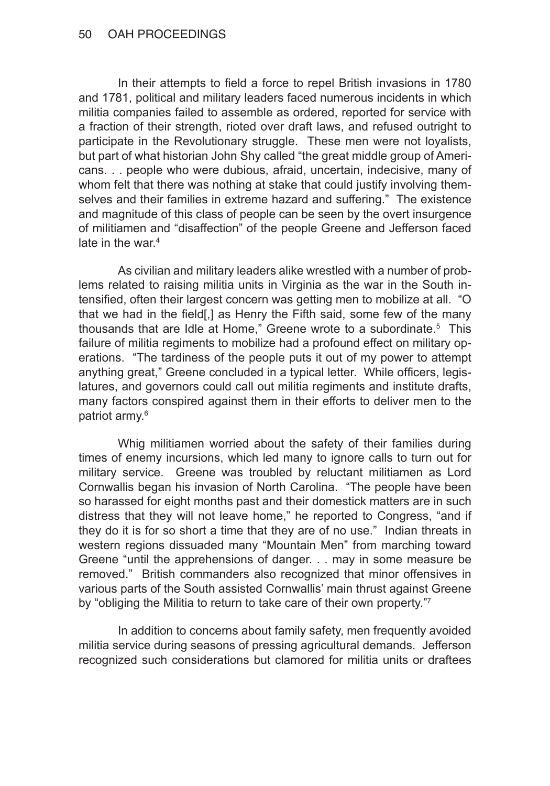#### 50 OAH PROCEEDINGS

In their attempts to field a force to repel British invasions in 1780 and 1781, political and military leaders faced numerous incidents in which militia companies failed to assemble as ordered, reported for service with a fraction of their strength, rioted over draft laws, and refused outright to participate in the Revolutionary struggle. These men were not loyalists, but part of what historian John Shy called "the great middle group of Americans. . . people who were dubious, afraid, uncertain, indecisive, many of whom felt that there was nothing at stake that could justify involving themselves and their families in extreme hazard and suffering." The existence and magnitude of this class of people can be seen by the overt insurgence of militiamen and "disaffection" of the people Greene and Jefferson faced late in the war.<sup>4</sup>

As civilian and military leaders alike wrestled with a number of problems related to raising militia units in Virginia as the war in the South intensified, often their largest concern was getting men to mobilize at all. "O that we had in the field[,] as Henry the Fifth said, some few of the many thousands that are Idle at Home," Greene wrote to a subordinate.<sup>5</sup> This failure of militia regiments to mobilize had a profound effect on military operations. "The tardiness of the people puts it out of my power to attempt anything great," Greene concluded in a typical letter. While officers, legislatures, and governors could call out militia regiments and institute drafts, many factors conspired against them in their efforts to deliver men to the patriot army.<sup>6</sup>

Whig militiamen worried about the safety of their families during times of enemy incursions, which led many to ignore calls to turn out for military service. Greene was troubled by reluctant militiamen as Lord Cornwallis began his invasion of North Carolina. "The people have been so harassed for eight months past and their domestick matters are in such distress that they will not leave home," he reported to Congress, "and if they do it is for so short a time that they are of no use." Indian threats in western regions dissuaded many "Mountain Men" from marching toward Greene "until the apprehensions of danger. . . may in some measure be removed." British commanders also recognized that minor offensives in various parts of the South assisted Cornwallis' main thrust against Greene by "obliging the Militia to return to take care of their own property."7

In addition to concerns about family safety, men frequently avoided militia service during seasons of pressing agricultural demands. Jefferson recognized such considerations but clamored for militia units or draftees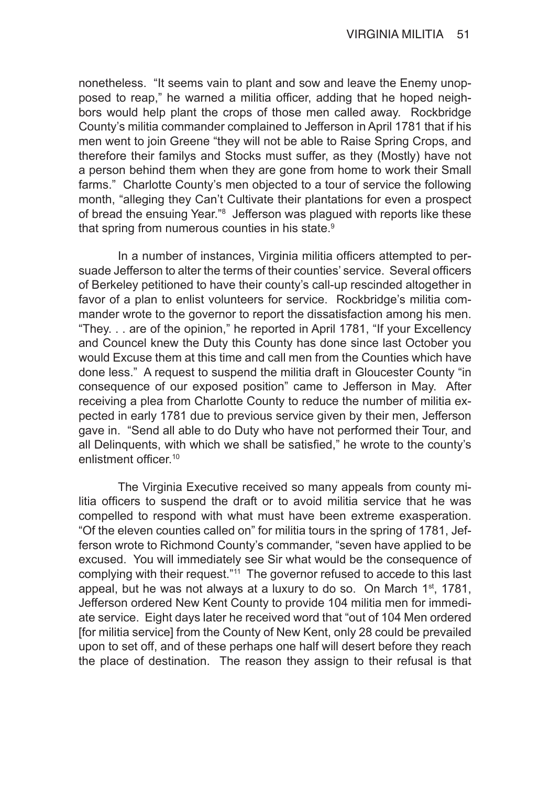nonetheless. "It seems vain to plant and sow and leave the Enemy unopposed to reap," he warned a militia officer, adding that he hoped neighbors would help plant the crops of those men called away. Rockbridge County's militia commander complained to Jefferson in April 1781 that if his men went to join Greene "they will not be able to Raise Spring Crops, and therefore their familys and Stocks must suffer, as they (Mostly) have not a person behind them when they are gone from home to work their Small farms." Charlotte County's men objected to a tour of service the following month, "alleging they Can't Cultivate their plantations for even a prospect of bread the ensuing Year."<sup>8</sup> Jefferson was plagued with reports like these that spring from numerous counties in his state.<sup>9</sup>

In a number of instances, Virginia militia officers attempted to persuade Jefferson to alter the terms of their counties' service. Several officers of Berkeley petitioned to have their county's call-up rescinded altogether in favor of a plan to enlist volunteers for service. Rockbridge's militia commander wrote to the governor to report the dissatisfaction among his men. "They. . . are of the opinion," he reported in April 1781, "If your Excellency and Councel knew the Duty this County has done since last October you would Excuse them at this time and call men from the Counties which have done less." A request to suspend the militia draft in Gloucester County "in consequence of our exposed position" came to Jefferson in May. After receiving a plea from Charlotte County to reduce the number of militia expected in early 1781 due to previous service given by their men, Jefferson gave in. "Send all able to do Duty who have not performed their Tour, and all Delinquents, with which we shall be satisfied," he wrote to the county's enlistment officer.<sup>10</sup>

The Virginia Executive received so many appeals from county militia officers to suspend the draft or to avoid militia service that he was compelled to respond with what must have been extreme exasperation. "Of the eleven counties called on" for militia tours in the spring of 1781, Jefferson wrote to Richmond County's commander, "seven have applied to be excused. You will immediately see Sir what would be the consequence of complying with their request."<sup>11</sup> The governor refused to accede to this last appeal, but he was not always at a luxury to do so. On March  $1<sup>st</sup>$ , 1781, Jefferson ordered New Kent County to provide 104 militia men for immediate service. Eight days later he received word that "out of 104 Men ordered [for militia service] from the County of New Kent, only 28 could be prevailed upon to set off, and of these perhaps one half will desert before they reach the place of destination. The reason they assign to their refusal is that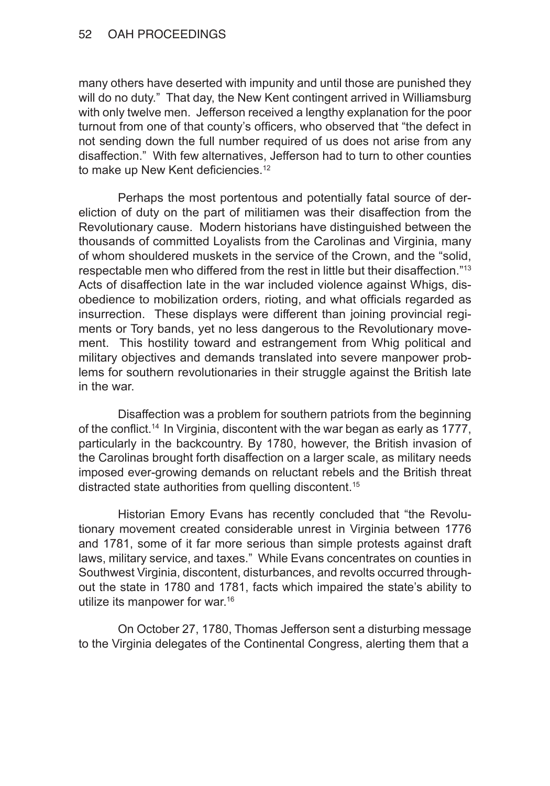many others have deserted with impunity and until those are punished they will do no duty." That day, the New Kent contingent arrived in Williamsburg with only twelve men. Jefferson received a lengthy explanation for the poor turnout from one of that county's officers, who observed that "the defect in not sending down the full number required of us does not arise from any disaffection." With few alternatives, Jefferson had to turn to other counties to make up New Kent deficiencies.<sup>12</sup>

Perhaps the most portentous and potentially fatal source of dereliction of duty on the part of militiamen was their disaffection from the Revolutionary cause. Modern historians have distinguished between the thousands of committed Loyalists from the Carolinas and Virginia, many of whom shouldered muskets in the service of the Crown, and the "solid, respectable men who differed from the rest in little but their disaffection."13 Acts of disaffection late in the war included violence against Whigs, disobedience to mobilization orders, rioting, and what officials regarded as insurrection. These displays were different than joining provincial regiments or Tory bands, yet no less dangerous to the Revolutionary movement. This hostility toward and estrangement from Whig political and military objectives and demands translated into severe manpower problems for southern revolutionaries in their struggle against the British late in the war.

Disaffection was a problem for southern patriots from the beginning of the conflict.14 In Virginia, discontent with the war began as early as 1777, particularly in the backcountry. By 1780, however, the British invasion of the Carolinas brought forth disaffection on a larger scale, as military needs imposed ever-growing demands on reluctant rebels and the British threat distracted state authorities from quelling discontent.15

Historian Emory Evans has recently concluded that "the Revolutionary movement created considerable unrest in Virginia between 1776 and 1781, some of it far more serious than simple protests against draft laws, military service, and taxes." While Evans concentrates on counties in Southwest Virginia, discontent, disturbances, and revolts occurred throughout the state in 1780 and 1781, facts which impaired the state's ability to utilize its manpower for war.16

On October 27, 1780, Thomas Jefferson sent a disturbing message to the Virginia delegates of the Continental Congress, alerting them that a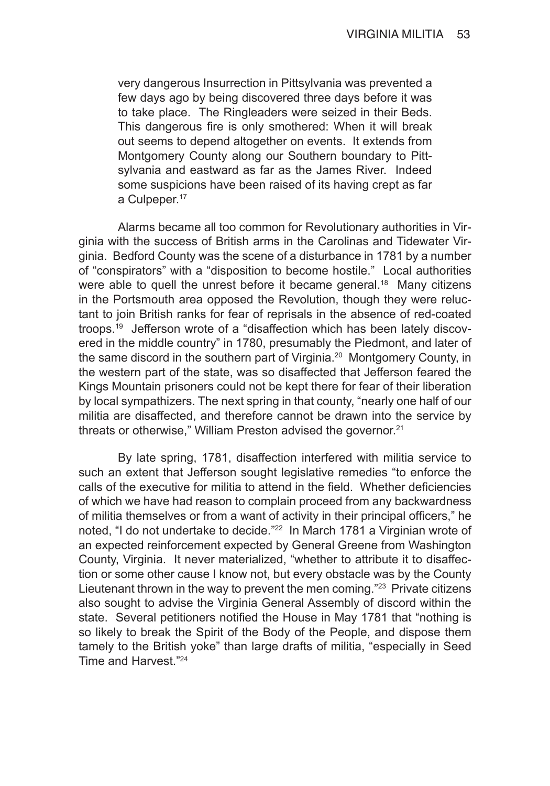very dangerous Insurrection in Pittsylvania was prevented a few days ago by being discovered three days before it was to take place. The Ringleaders were seized in their Beds. This dangerous fire is only smothered: When it will break out seems to depend altogether on events. It extends from Montgomery County along our Southern boundary to Pittsylvania and eastward as far as the James River. Indeed some suspicions have been raised of its having crept as far a Culpeper.<sup>17</sup>

Alarms became all too common for Revolutionary authorities in Virginia with the success of British arms in the Carolinas and Tidewater Virginia. Bedford County was the scene of a disturbance in 1781 by a number of "conspirators" with a "disposition to become hostile." Local authorities were able to quell the unrest before it became general.<sup>18</sup> Many citizens in the Portsmouth area opposed the Revolution, though they were reluctant to join British ranks for fear of reprisals in the absence of red-coated troops.19 Jefferson wrote of a "disaffection which has been lately discovered in the middle country" in 1780, presumably the Piedmont, and later of the same discord in the southern part of Virginia.<sup>20</sup> Montgomery County, in the western part of the state, was so disaffected that Jefferson feared the Kings Mountain prisoners could not be kept there for fear of their liberation by local sympathizers. The next spring in that county, "nearly one half of our militia are disaffected, and therefore cannot be drawn into the service by threats or otherwise," William Preston advised the governor.<sup>21</sup>

By late spring, 1781, disaffection interfered with militia service to such an extent that Jefferson sought legislative remedies "to enforce the calls of the executive for militia to attend in the field. Whether deficiencies of which we have had reason to complain proceed from any backwardness of militia themselves or from a want of activity in their principal officers," he noted, "I do not undertake to decide."<sup>22</sup> In March 1781 a Virginian wrote of an expected reinforcement expected by General Greene from Washington County, Virginia. It never materialized, "whether to attribute it to disaffection or some other cause I know not, but every obstacle was by the County Lieutenant thrown in the way to prevent the men coming.<sup>"23</sup> Private citizens also sought to advise the Virginia General Assembly of discord within the state. Several petitioners notified the House in May 1781 that "nothing is so likely to break the Spirit of the Body of the People, and dispose them tamely to the British yoke" than large drafts of militia, "especially in Seed Time and Harvest."24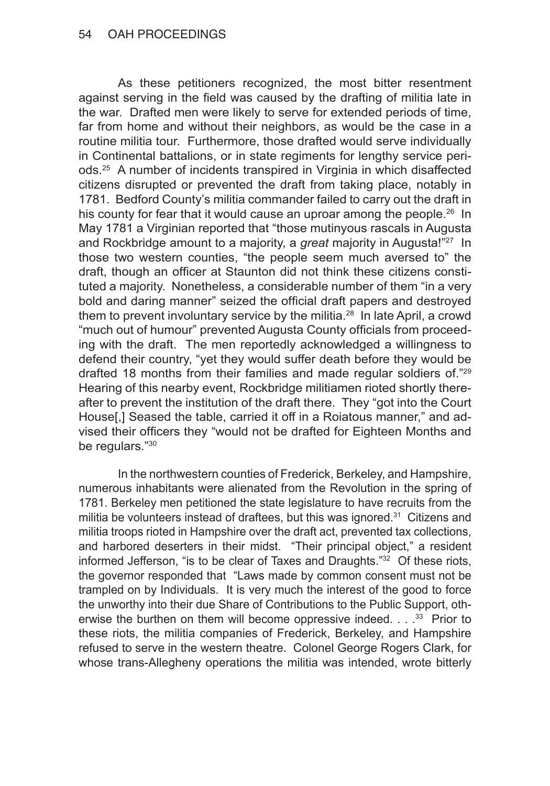As these petitioners recognized, the most bitter resentment against serving in the field was caused by the drafting of militia late in the war. Drafted men were likely to serve for extended periods of time, far from home and without their neighbors, as would be the case in a routine militia tour. Furthermore, those drafted would serve individually in Continental battalions, or in state regiments for lengthy service periods.25 A number of incidents transpired in Virginia in which disaffected citizens disrupted or prevented the draft from taking place, notably in 1781. Bedford County's militia commander failed to carry out the draft in his county for fear that it would cause an uproar among the people.<sup>26</sup> In May 1781 a Virginian reported that "those mutinyous rascals in Augusta and Rockbridge amount to a majority, a *great* majority in Augusta!"27 In those two western counties, "the people seem much aversed to" the draft, though an officer at Staunton did not think these citizens constituted a majority. Nonetheless, a considerable number of them "in a very bold and daring manner" seized the official draft papers and destroyed them to prevent involuntary service by the militia. $28$  In late April, a crowd "much out of humour" prevented Augusta County officials from proceeding with the draft. The men reportedly acknowledged a willingness to defend their country, "yet they would suffer death before they would be drafted 18 months from their families and made regular soldiers of."29 Hearing of this nearby event, Rockbridge militiamen rioted shortly thereafter to prevent the institution of the draft there. They "got into the Court House[,] Seased the table, carried it off in a Roiatous manner," and advised their officers they "would not be drafted for Eighteen Months and be regulars."30

In the northwestern counties of Frederick, Berkeley, and Hampshire, numerous inhabitants were alienated from the Revolution in the spring of 1781. Berkeley men petitioned the state legislature to have recruits from the militia be volunteers instead of draftees, but this was ignored.<sup>31</sup> Citizens and militia troops rioted in Hampshire over the draft act, prevented tax collections, and harbored deserters in their midst. "Their principal object," a resident informed Jefferson, "is to be clear of Taxes and Draughts."32 Of these riots, the governor responded that "Laws made by common consent must not be trampled on by Individuals. It is very much the interest of the good to force the unworthy into their due Share of Contributions to the Public Support, otherwise the burthen on them will become oppressive indeed.  $\ldots$   $^{33}$  Prior to these riots, the militia companies of Frederick, Berkeley, and Hampshire refused to serve in the western theatre. Colonel George Rogers Clark, for whose trans-Allegheny operations the militia was intended, wrote bitterly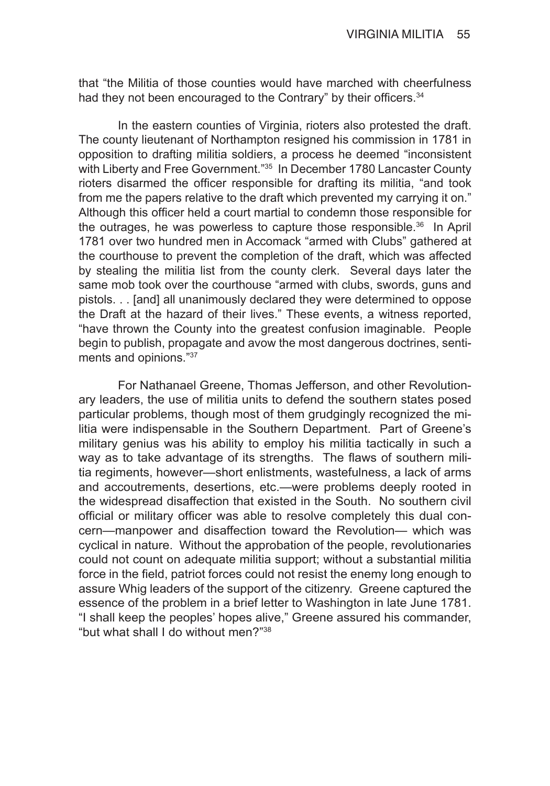that "the Militia of those counties would have marched with cheerfulness had they not been encouraged to the Contrary" by their officers.<sup>34</sup>

In the eastern counties of Virginia, rioters also protested the draft. The county lieutenant of Northampton resigned his commission in 1781 in opposition to drafting militia soldiers, a process he deemed "inconsistent with Liberty and Free Government."<sup>35</sup> In December 1780 Lancaster County rioters disarmed the officer responsible for drafting its militia, "and took from me the papers relative to the draft which prevented my carrying it on." Although this officer held a court martial to condemn those responsible for the outrages, he was powerless to capture those responsible.<sup>36</sup> In April 1781 over two hundred men in Accomack "armed with Clubs" gathered at the courthouse to prevent the completion of the draft, which was affected by stealing the militia list from the county clerk. Several days later the same mob took over the courthouse "armed with clubs, swords, guns and pistols. . . [and] all unanimously declared they were determined to oppose the Draft at the hazard of their lives." These events, a witness reported, "have thrown the County into the greatest confusion imaginable. People begin to publish, propagate and avow the most dangerous doctrines, sentiments and opinions."37

For Nathanael Greene, Thomas Jefferson, and other Revolutionary leaders, the use of militia units to defend the southern states posed particular problems, though most of them grudgingly recognized the militia were indispensable in the Southern Department. Part of Greene's military genius was his ability to employ his militia tactically in such a way as to take advantage of its strengths. The flaws of southern militia regiments, however—short enlistments, wastefulness, a lack of arms and accoutrements, desertions, etc.—were problems deeply rooted in the widespread disaffection that existed in the South. No southern civil official or military officer was able to resolve completely this dual concern—manpower and disaffection toward the Revolution— which was cyclical in nature. Without the approbation of the people, revolutionaries could not count on adequate militia support; without a substantial militia force in the field, patriot forces could not resist the enemy long enough to assure Whig leaders of the support of the citizenry. Greene captured the essence of the problem in a brief letter to Washington in late June 1781. "I shall keep the peoples' hopes alive," Greene assured his commander, "but what shall I do without men?"38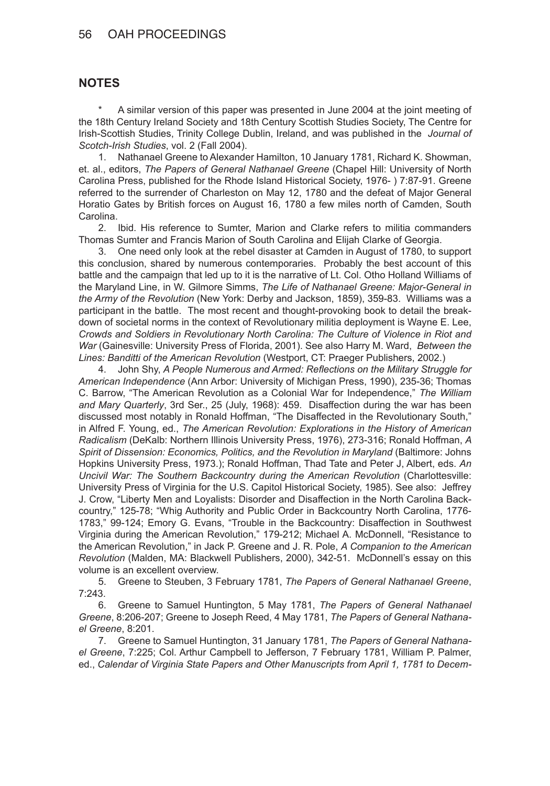### 56 OAH PROCEEDINGS

#### **NOTES**

A similar version of this paper was presented in June 2004 at the joint meeting of the 18th Century Ireland Society and 18th Century Scottish Studies Society, The Centre for Irish-Scottish Studies, Trinity College Dublin, Ireland, and was published in the *Journal of Scotch-Irish Studies*, vol. 2 (Fall 2004).

1. Nathanael Greene to Alexander Hamilton, 10 January 1781, Richard K. Showman, et. al., editors, *The Papers of General Nathanael Greene* (Chapel Hill: University of North Carolina Press, published for the Rhode Island Historical Society, 1976- ) 7:87-91. Greene referred to the surrender of Charleston on May 12, 1780 and the defeat of Major General Horatio Gates by British forces on August 16, 1780 a few miles north of Camden, South Carolina.

2. Ibid. His reference to Sumter, Marion and Clarke refers to militia commanders Thomas Sumter and Francis Marion of South Carolina and Elijah Clarke of Georgia.

3. One need only look at the rebel disaster at Camden in August of 1780, to support this conclusion, shared by numerous contemporaries. Probably the best account of this battle and the campaign that led up to it is the narrative of Lt. Col. Otho Holland Williams of the Maryland Line, in W. Gilmore Simms, *The Life of Nathanael Greene: Major-General in the Army of the Revolution* (New York: Derby and Jackson, 1859), 359-83. Williams was a participant in the battle. The most recent and thought-provoking book to detail the breakdown of societal norms in the context of Revolutionary militia deployment is Wayne E. Lee, *Crowds and Soldiers in Revolutionary North Carolina: The Culture of Violence in Riot and War* (Gainesville: University Press of Florida, 2001). See also Harry M. Ward, *Between the Lines: Banditti of the American Revolution* (Westport, CT: Praeger Publishers, 2002.)

4. John Shy, *A People Numerous and Armed: Reflections on the Military Struggle for American Independence* (Ann Arbor: University of Michigan Press, 1990), 235-36; Thomas C. Barrow, "The American Revolution as a Colonial War for Independence," *The William and Mary Quarterly*, 3rd Ser., 25 (July, 1968): 459. Disaffection during the war has been discussed most notably in Ronald Hoffman, "The Disaffected in the Revolutionary South," in Alfred F. Young, ed., *The American Revolution: Explorations in the History of American Radicalism* (DeKalb: Northern Illinois University Press, 1976), 273-316; Ronald Hoffman, *A Spirit of Dissension: Economics, Politics, and the Revolution in Maryland* (Baltimore: Johns Hopkins University Press, 1973.); Ronald Hoffman, Thad Tate and Peter J, Albert, eds. *An Uncivil War: The Southern Backcountry during the American Revolution* (Charlottesville: University Press of Virginia for the U.S. Capitol Historical Society, 1985). See also: Jeffrey J. Crow, "Liberty Men and Loyalists: Disorder and Disaffection in the North Carolina Backcountry," 125-78; "Whig Authority and Public Order in Backcountry North Carolina, 1776- 1783," 99-124; Emory G. Evans, "Trouble in the Backcountry: Disaffection in Southwest Virginia during the American Revolution," 179-212; Michael A. McDonnell, "Resistance to the American Revolution," in Jack P. Greene and J. R. Pole, *A Companion to the American Revolution* (Malden, MA: Blackwell Publishers, 2000), 342-51. McDonnell's essay on this volume is an excellent overview.

5. Greene to Steuben, 3 February 1781, *The Papers of General Nathanael Greene*, 7:243.

6. Greene to Samuel Huntington, 5 May 1781, *The Papers of General Nathanael Greene*, 8:206-207; Greene to Joseph Reed, 4 May 1781, *The Papers of General Nathanael Greene*, 8:201.

7. Greene to Samuel Huntington, 31 January 1781, *The Papers of General Nathanael Greene*, 7:225; Col. Arthur Campbell to Jefferson, 7 February 1781, William P. Palmer, ed., *Calendar of Virginia State Papers and Other Manuscripts from April 1, 1781 to Decem-*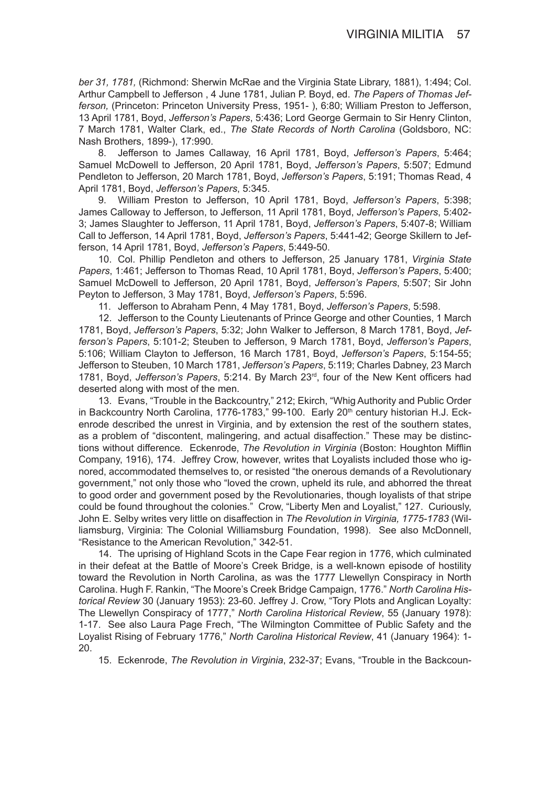*ber 31, 1781,* (Richmond: Sherwin McRae and the Virginia State Library, 1881), 1:494; Col. Arthur Campbell to Jefferson , 4 June 1781, Julian P. Boyd, ed. *The Papers of Thomas Jefferson,* (Princeton: Princeton University Press, 1951- ), 6:80; William Preston to Jefferson, 13 April 1781, Boyd, *Jefferson's Papers*, 5:436; Lord George Germain to Sir Henry Clinton, 7 March 1781, Walter Clark, ed., *The State Records of North Carolina* (Goldsboro, NC: Nash Brothers, 1899-), 17:990.

8. Jefferson to James Callaway, 16 April 1781, Boyd, *Jefferson's Papers*, 5:464; Samuel McDowell to Jefferson, 20 April 1781, Boyd, *Jefferson's Papers*, 5:507; Edmund Pendleton to Jefferson, 20 March 1781, Boyd, *Jefferson's Papers*, 5:191; Thomas Read, 4 April 1781, Boyd, *Jefferson's Papers*, 5:345.

9. William Preston to Jefferson, 10 April 1781, Boyd, *Jefferson's Papers*, 5:398; James Calloway to Jefferson, to Jefferson, 11 April 1781, Boyd, *Jefferson's Papers*, 5:402- 3; James Slaughter to Jefferson, 11 April 1781, Boyd, *Jefferson's Papers*, 5:407-8; William Call to Jefferson, 14 April 1781, Boyd, *Jefferson's Papers*, 5:441-42; George Skillern to Jefferson, 14 April 1781, Boyd, *Jefferson's Papers*, 5:449-50.

10. Col. Phillip Pendleton and others to Jefferson, 25 January 1781, *Virginia State Papers*, 1:461; Jefferson to Thomas Read, 10 April 1781, Boyd, *Jefferson's Papers*, 5:400; Samuel McDowell to Jefferson, 20 April 1781, Boyd, *Jefferson's Papers*, 5:507; Sir John Peyton to Jefferson, 3 May 1781, Boyd, *Jefferson's Papers*, 5:596.

11. Jefferson to Abraham Penn, 4 May 1781, Boyd, *Jefferson's Papers*, 5:598.

12. Jefferson to the County Lieutenants of Prince George and other Counties, 1 March 1781, Boyd, *Jefferson's Papers*, 5:32; John Walker to Jefferson, 8 March 1781, Boyd, *Jefferson's Papers*, 5:101-2; Steuben to Jefferson, 9 March 1781, Boyd, *Jefferson's Papers*, 5:106; William Clayton to Jefferson, 16 March 1781, Boyd, *Jefferson's Papers*, 5:154-55; Jefferson to Steuben, 10 March 1781, *Jefferson's Papers*, 5:119; Charles Dabney, 23 March 1781, Boyd, *Jefferson's Papers*, 5:214. By March 23rd, four of the New Kent officers had deserted along with most of the men.

13. Evans, "Trouble in the Backcountry," 212; Ekirch, "Whig Authority and Public Order in Backcountry North Carolina, 1776-1783," 99-100. Early 20<sup>th</sup> century historian H.J. Eckenrode described the unrest in Virginia, and by extension the rest of the southern states, as a problem of "discontent, malingering, and actual disaffection." These may be distinctions without difference. Eckenrode, *The Revolution in Virginia* (Boston: Houghton Mifflin Company, 1916), 174. Jeffrey Crow, however, writes that Loyalists included those who ignored, accommodated themselves to, or resisted "the onerous demands of a Revolutionary government," not only those who "loved the crown, upheld its rule, and abhorred the threat to good order and government posed by the Revolutionaries, though loyalists of that stripe could be found throughout the colonies." Crow, "Liberty Men and Loyalist," 127. Curiously, John E. Selby writes very little on disaffection in *The Revolution in Virginia, 1775-1783* (Williamsburg, Virginia: The Colonial Williamsburg Foundation, 1998). See also McDonnell, "Resistance to the American Revolution," 342-51.

14. The uprising of Highland Scots in the Cape Fear region in 1776, which culminated in their defeat at the Battle of Moore's Creek Bridge, is a well-known episode of hostility toward the Revolution in North Carolina, as was the 1777 Llewellyn Conspiracy in North Carolina. Hugh F. Rankin, "The Moore's Creek Bridge Campaign, 1776." *North Carolina Historical Review* 30 (January 1953): 23-60. Jeffrey J. Crow, "Tory Plots and Anglican Loyalty: The Llewellyn Conspiracy of 1777," *North Carolina Historical Review*, 55 (January 1978): 1-17. See also Laura Page Frech, "The Wilmington Committee of Public Safety and the Loyalist Rising of February 1776," *North Carolina Historical Review*, 41 (January 1964): 1- 20.

15. Eckenrode, *The Revolution in Virginia*, 232-37; Evans, "Trouble in the Backcoun-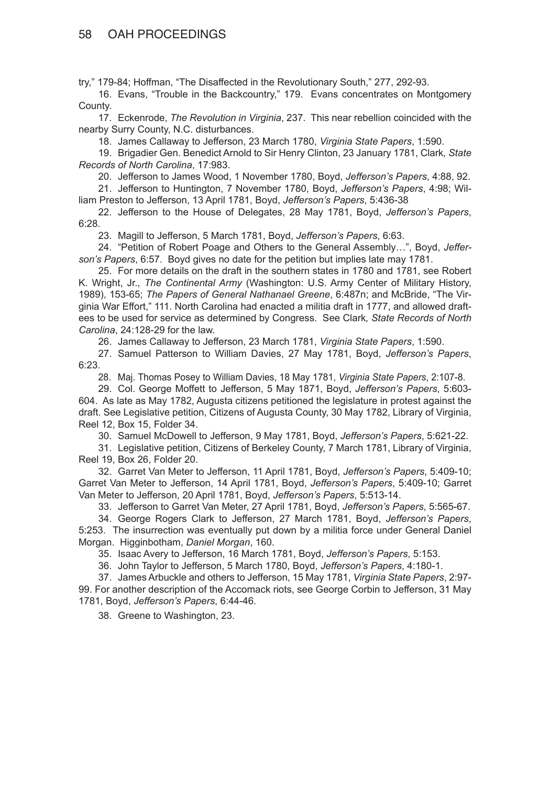## 58 OAH PROCEEDINGS

try," 179-84; Hoffman, "The Disaffected in the Revolutionary South," 277, 292-93.

16. Evans, "Trouble in the Backcountry," 179. Evans concentrates on Montgomery County.

17. Eckenrode, *The Revolution in Virginia*, 237. This near rebellion coincided with the nearby Surry County, N.C. disturbances.

18. James Callaway to Jefferson, 23 March 1780, *Virginia State Papers*, 1:590.

19. Brigadier Gen. Benedict Arnold to Sir Henry Clinton, 23 January 1781, Clark*, State Records of North Carolina*, 17:983.

20. Jefferson to James Wood, 1 November 1780, Boyd, *Jefferson's Papers*, 4:88, 92.

21. Jefferson to Huntington, 7 November 1780, Boyd, *Jefferson's Papers*, 4:98; William Preston to Jefferson, 13 April 1781, Boyd, *Jefferson's Papers*, 5:436-38

22. Jefferson to the House of Delegates, 28 May 1781, Boyd, *Jefferson's Papers*, 6:28.

23. Magill to Jefferson, 5 March 1781, Boyd, *Jefferson's Papers*, 6:63.

24. "Petition of Robert Poage and Others to the General Assembly…", Boyd, *Jefferson's Papers*, 6:57. Boyd gives no date for the petition but implies late may 1781.

25. For more details on the draft in the southern states in 1780 and 1781, see Robert K. Wright, Jr., *The Continental Army* (Washington: U.S. Army Center of Military History, 1989), 153-65; *The Papers of General Nathanael Greene*, 6:487n; and McBride, "The Virginia War Effort," 111. North Carolina had enacted a militia draft in 1777, and allowed draftees to be used for service as determined by Congress. See Clark*, State Records of North Carolina*, 24:128-29 for the law.

26. James Callaway to Jefferson, 23 March 1781, *Virginia State Papers*, 1:590.

27. Samuel Patterson to William Davies, 27 May 1781, Boyd, *Jefferson's Papers*, 6:23.

28. Maj. Thomas Posey to William Davies, 18 May 1781, *Virginia State Papers*, 2:107-8.

29. Col. George Moffett to Jefferson, 5 May 1871, Boyd, *Jefferson's Papers*, 5:603- 604. As late as May 1782, Augusta citizens petitioned the legislature in protest against the draft. See Legislative petition, Citizens of Augusta County, 30 May 1782, Library of Virginia, Reel 12, Box 15, Folder 34.

30. Samuel McDowell to Jefferson, 9 May 1781, Boyd, *Jefferson's Papers*, 5:621-22.

31. Legislative petition, Citizens of Berkeley County, 7 March 1781, Library of Virginia, Reel 19, Box 26, Folder 20.

32. Garret Van Meter to Jefferson, 11 April 1781, Boyd, *Jefferson's Papers*, 5:409-10; Garret Van Meter to Jefferson, 14 April 1781, Boyd, *Jefferson's Papers*, 5:409-10; Garret Van Meter to Jefferson, 20 April 1781, Boyd, *Jefferson's Papers*, 5:513-14.

33. Jefferson to Garret Van Meter, 27 April 1781, Boyd, *Jefferson's Papers*, 5:565-67.

34. George Rogers Clark to Jefferson, 27 March 1781, Boyd, *Jefferson's Papers*, 5:253. The insurrection was eventually put down by a militia force under General Daniel Morgan. Higginbotham, *Daniel Morgan*, 160.

35. Isaac Avery to Jefferson, 16 March 1781, Boyd, *Jefferson's Papers*, 5:153.

36. John Taylor to Jefferson, 5 March 1780, Boyd, *Jefferson's Papers*, 4:180-1.

37. James Arbuckle and others to Jefferson, 15 May 1781, *Virginia State Papers*, 2:97- 99. For another description of the Accomack riots, see George Corbin to Jefferson, 31 May 1781, Boyd, *Jefferson's Papers*, 6:44-46.

38. Greene to Washington, 23.